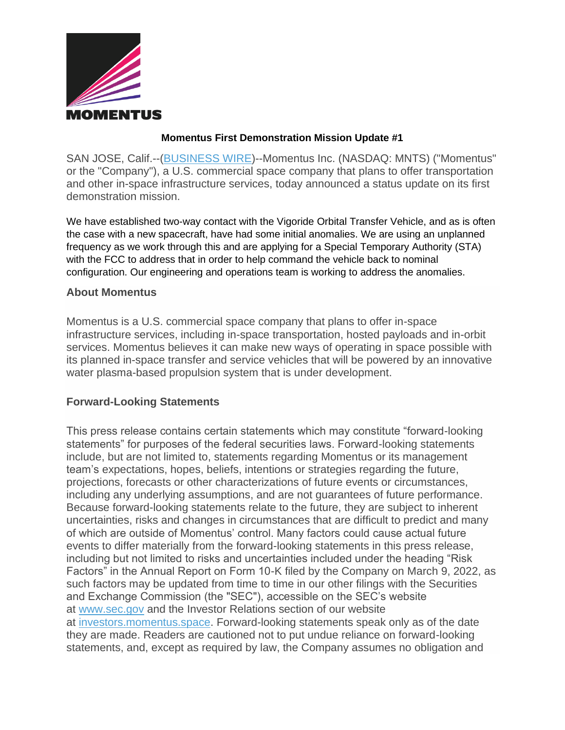

## **Momentus First Demonstration Mission Update #1**

SAN JOSE, Calif.--[\(BUSINESS WIRE\)](https://www.businesswire.com/)--Momentus Inc. (NASDAQ: MNTS) ("Momentus" or the "Company"), a U.S. commercial space company that plans to offer transportation and other in-space infrastructure services, today announced a status update on its first demonstration mission.

We have established two-way contact with the Vigoride Orbital Transfer Vehicle, and as is often the case with a new spacecraft, have had some initial anomalies. We are using an unplanned frequency as we work through this and are applying for a Special Temporary Authority (STA) with the FCC to address that in order to help command the vehicle back to nominal configuration. Our engineering and operations team is working to address the anomalies.

## **About Momentus**

Momentus is a U.S. commercial space company that plans to offer in-space infrastructure services, including in-space transportation, hosted payloads and in-orbit services. Momentus believes it can make new ways of operating in space possible with its planned in-space transfer and service vehicles that will be powered by an innovative water plasma-based propulsion system that is under development.

## **Forward-Looking Statements**

This press release contains certain statements which may constitute "forward-looking statements" for purposes of the federal securities laws. Forward-looking statements include, but are not limited to, statements regarding Momentus or its management team's expectations, hopes, beliefs, intentions or strategies regarding the future, projections, forecasts or other characterizations of future events or circumstances, including any underlying assumptions, and are not guarantees of future performance. Because forward-looking statements relate to the future, they are subject to inherent uncertainties, risks and changes in circumstances that are difficult to predict and many of which are outside of Momentus' control. Many factors could cause actual future events to differ materially from the forward-looking statements in this press release, including but not limited to risks and uncertainties included under the heading "Risk Factors" in the Annual Report on Form 10-K filed by the Company on March 9, 2022, as such factors may be updated from time to time in our other filings with the Securities and Exchange Commission (the "SEC"), accessible on the SEC's website at [www.sec.gov](https://cts.businesswire.com/ct/CT?id=smartlink&url=http%3A%2F%2Fwww.sec.gov&esheet=52731288&newsitemid=20220525005971&lan=en-US&anchor=www.sec.gov&index=1&md5=dfb1911db0fc090180c9ab6f05de8ca1) and the Investor Relations section of our website at [investors.momentus.space.](https://cts.businesswire.com/ct/CT?id=smartlink&url=http%3A%2F%2Finvestors.momentus.space&esheet=52731288&newsitemid=20220525005971&lan=en-US&anchor=investors.momentus.space&index=2&md5=40763d86fcc4ec90abdfb38288ad4c4e) Forward-looking statements speak only as of the date they are made. Readers are cautioned not to put undue reliance on forward-looking statements, and, except as required by law, the Company assumes no obligation and